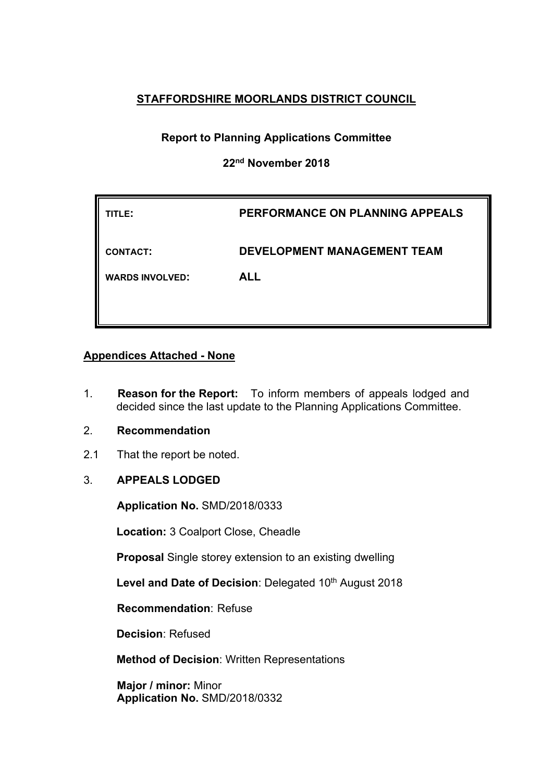# **STAFFORDSHIRE MOORLANDS DISTRICT COUNCIL**

# **Report to Planning Applications Committee**

# **22nd November 2018**

| PERFORMANCE ON PLANNING APPEALS    |
|------------------------------------|
| <b>DEVELOPMENT MANAGEMENT TEAM</b> |
| <b>ALL</b>                         |
|                                    |
|                                    |

## **Appendices Attached - None**

- 1. **Reason for the Report:** To inform members of appeals lodged and decided since the last update to the Planning Applications Committee.
- 2. **Recommendation**
- 2.1 That the report be noted.

# 3. **APPEALS LODGED**

**Application No.** SMD/2018/0333

**Location:** 3 Coalport Close, Cheadle

**Proposal** Single storey extension to an existing dwelling

**Level and Date of Decision**: Delegated 10th August 2018

**Recommendation**: Refuse

**Decision**: Refused

**Method of Decision**: Written Representations

**Major / minor:** Minor **Application No.** SMD/2018/0332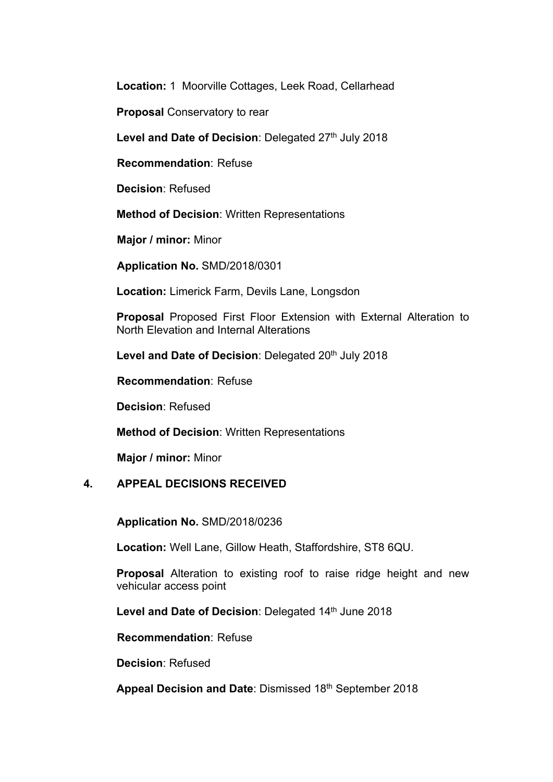**Location:** 1 Moorville Cottages, Leek Road, Cellarhead

**Proposal** Conservatory to rear

**Level and Date of Decision**: Delegated 27th July 2018

**Recommendation**: Refuse

**Decision**: Refused

**Method of Decision**: Written Representations

**Major / minor:** Minor

**Application No.** SMD/2018/0301

**Location:** Limerick Farm, Devils Lane, Longsdon

**Proposal** Proposed First Floor Extension with External Alteration to North Elevation and Internal Alterations

**Level and Date of Decision**: Delegated 20th July 2018

**Recommendation**: Refuse

**Decision**: Refused

**Method of Decision**: Written Representations

**Major / minor:** Minor

## **4. APPEAL DECISIONS RECEIVED**

**Application No.** SMD/2018/0236

**Location:** Well Lane, Gillow Heath, Staffordshire, ST8 6QU.

**Proposal** Alteration to existing roof to raise ridge height and new vehicular access point

**Level and Date of Decision**: Delegated 14th June 2018

**Recommendation**: Refuse

**Decision**: Refused

**Appeal Decision and Date**: Dismissed 18th September 2018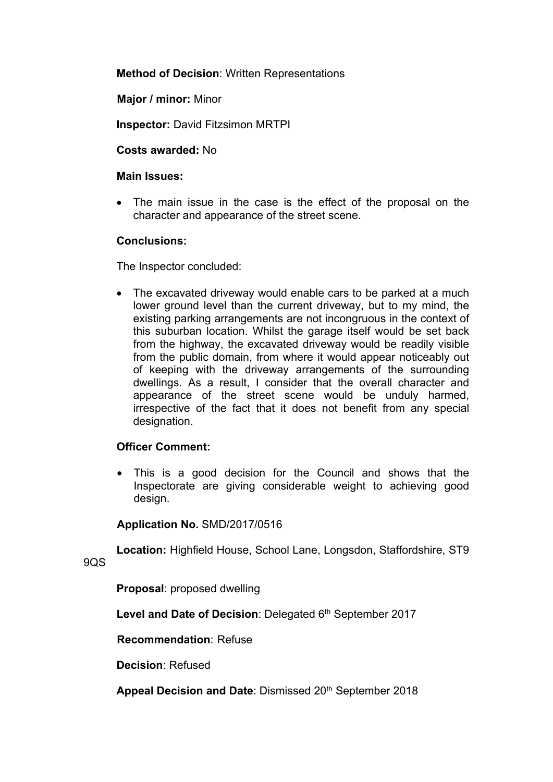**Method of Decision**: Written Representations

**Major / minor:** Minor

**Inspector:** David Fitzsimon MRTPI

**Costs awarded:** No

#### **Main Issues:**

 The main issue in the case is the effect of the proposal on the character and appearance of the street scene.

## **Conclusions:**

The Inspector concluded:

• The excavated driveway would enable cars to be parked at a much lower ground level than the current driveway, but to my mind, the existing parking arrangements are not incongruous in the context of this suburban location. Whilst the garage itself would be set back from the highway, the excavated driveway would be readily visible from the public domain, from where it would appear noticeably out of keeping with the driveway arrangements of the surrounding dwellings. As a result, I consider that the overall character and appearance of the street scene would be unduly harmed, irrespective of the fact that it does not benefit from any special designation.

## **Officer Comment:**

 This is a good decision for the Council and shows that the Inspectorate are giving considerable weight to achieving good design.

#### **Application No.** SMD/2017/0516

**Location:** Highfield House, School Lane, Longsdon, Staffordshire, ST9

9QS

**Proposal**: proposed dwelling

**Level and Date of Decision**: Delegated 6 th September 2017

**Recommendation**: Refuse

**Decision**: Refused

**Appeal Decision and Date**: Dismissed 20th September 2018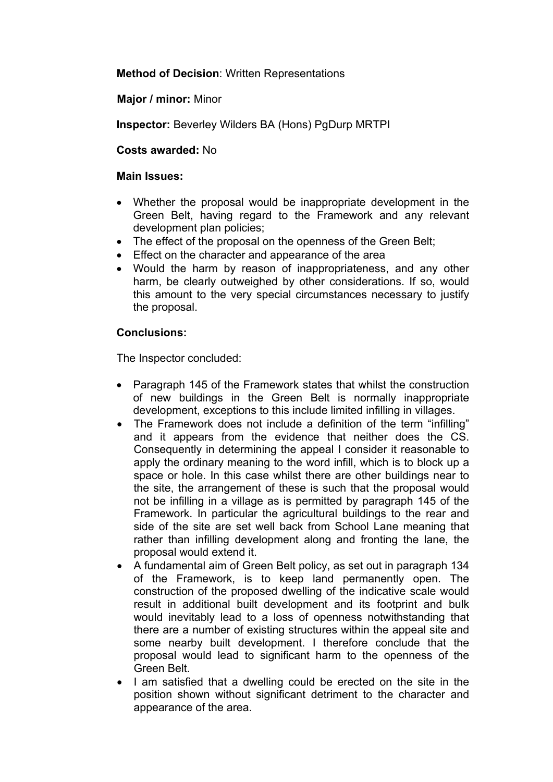**Method of Decision**: Written Representations

**Major / minor:** Minor

**Inspector:** Beverley Wilders BA (Hons) PgDurp MRTPI

**Costs awarded:** No

#### **Main Issues:**

- Whether the proposal would be inappropriate development in the Green Belt, having regard to the Framework and any relevant development plan policies;
- The effect of the proposal on the openness of the Green Belt:
- Effect on the character and appearance of the area
- Would the harm by reason of inappropriateness, and any other harm, be clearly outweighed by other considerations. If so, would this amount to the very special circumstances necessary to justify the proposal.

## **Conclusions:**

- Paragraph 145 of the Framework states that whilst the construction of new buildings in the Green Belt is normally inappropriate development, exceptions to this include limited infilling in villages.
- The Framework does not include a definition of the term "infilling" and it appears from the evidence that neither does the CS. Consequently in determining the appeal I consider it reasonable to apply the ordinary meaning to the word infill, which is to block up a space or hole. In this case whilst there are other buildings near to the site, the arrangement of these is such that the proposal would not be infilling in a village as is permitted by paragraph 145 of the Framework. In particular the agricultural buildings to the rear and side of the site are set well back from School Lane meaning that rather than infilling development along and fronting the lane, the proposal would extend it.
- A fundamental aim of Green Belt policy, as set out in paragraph 134 of the Framework, is to keep land permanently open. The construction of the proposed dwelling of the indicative scale would result in additional built development and its footprint and bulk would inevitably lead to a loss of openness notwithstanding that there are a number of existing structures within the appeal site and some nearby built development. I therefore conclude that the proposal would lead to significant harm to the openness of the Green Belt.
- I am satisfied that a dwelling could be erected on the site in the position shown without significant detriment to the character and appearance of the area.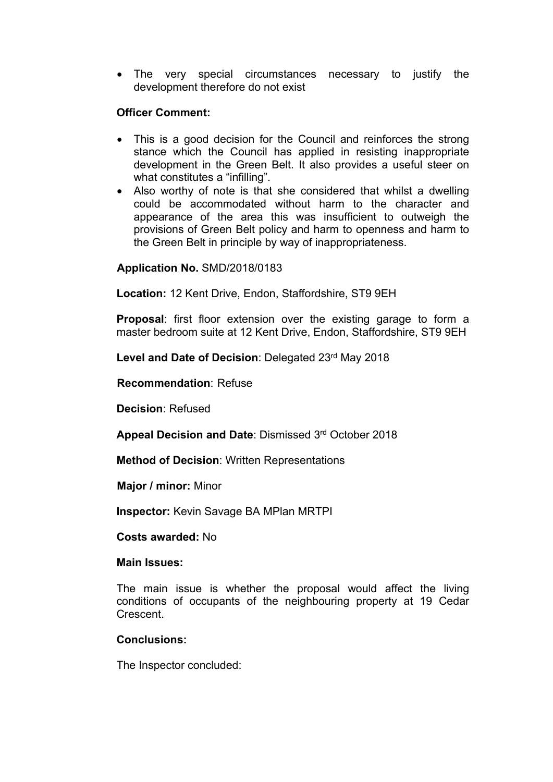The very special circumstances necessary to justify the development therefore do not exist

## **Officer Comment:**

- This is a good decision for the Council and reinforces the strong stance which the Council has applied in resisting inappropriate development in the Green Belt. It also provides a useful steer on what constitutes a "infilling".
- Also worthy of note is that she considered that whilst a dwelling could be accommodated without harm to the character and appearance of the area this was insufficient to outweigh the provisions of Green Belt policy and harm to openness and harm to the Green Belt in principle by way of inappropriateness.

## **Application No.** SMD/2018/0183

**Location:** 12 Kent Drive, Endon, Staffordshire, ST9 9EH

**Proposal**: first floor extension over the existing garage to form a master bedroom suite at 12 Kent Drive, Endon, Staffordshire, ST9 9EH

**Level and Date of Decision**: Delegated 23rd May 2018

**Recommendation**: Refuse

**Decision**: Refused

**Appeal Decision and Date**: Dismissed 3 rd October 2018

**Method of Decision**: Written Representations

**Major / minor:** Minor

**Inspector:** Kevin Savage BA MPlan MRTPI

**Costs awarded:** No

#### **Main Issues:**

The main issue is whether the proposal would affect the living conditions of occupants of the neighbouring property at 19 Cedar Crescent.

#### **Conclusions:**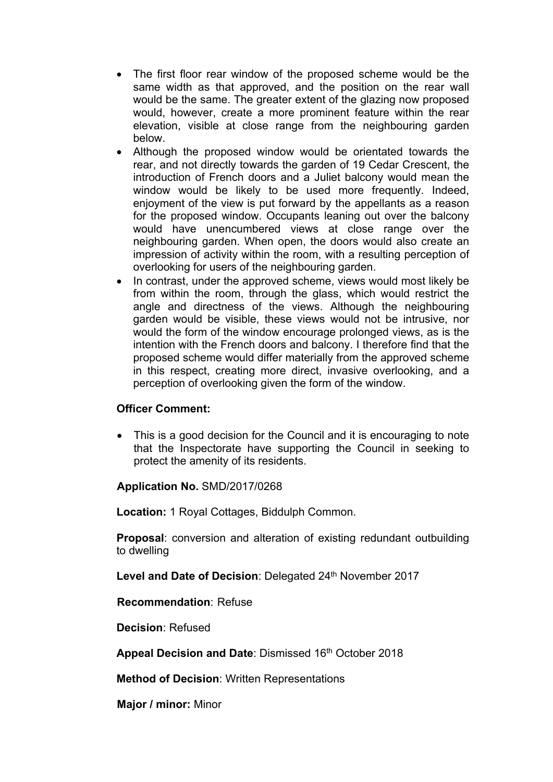- The first floor rear window of the proposed scheme would be the same width as that approved, and the position on the rear wall would be the same. The greater extent of the glazing now proposed would, however, create a more prominent feature within the rear elevation, visible at close range from the neighbouring garden below.
- Although the proposed window would be orientated towards the rear, and not directly towards the garden of 19 Cedar Crescent, the introduction of French doors and a Juliet balcony would mean the window would be likely to be used more frequently. Indeed, enjoyment of the view is put forward by the appellants as a reason for the proposed window. Occupants leaning out over the balcony would have unencumbered views at close range over the neighbouring garden. When open, the doors would also create an impression of activity within the room, with a resulting perception of overlooking for users of the neighbouring garden.
- In contrast, under the approved scheme, views would most likely be from within the room, through the glass, which would restrict the angle and directness of the views. Although the neighbouring garden would be visible, these views would not be intrusive, nor would the form of the window encourage prolonged views, as is the intention with the French doors and balcony. I therefore find that the proposed scheme would differ materially from the approved scheme in this respect, creating more direct, invasive overlooking, and a perception of overlooking given the form of the window.

## **Officer Comment:**

 This is a good decision for the Council and it is encouraging to note that the Inspectorate have supporting the Council in seeking to protect the amenity of its residents.

## **Application No.** SMD/2017/0268

**Location:** 1 Royal Cottages, Biddulph Common.

**Proposal**: conversion and alteration of existing redundant outbuilding to dwelling

**Level and Date of Decision**: Delegated 24th November 2017

#### **Recommendation**: Refuse

**Decision**: Refused

**Appeal Decision and Date**: Dismissed 16th October 2018

**Method of Decision**: Written Representations

**Major / minor:** Minor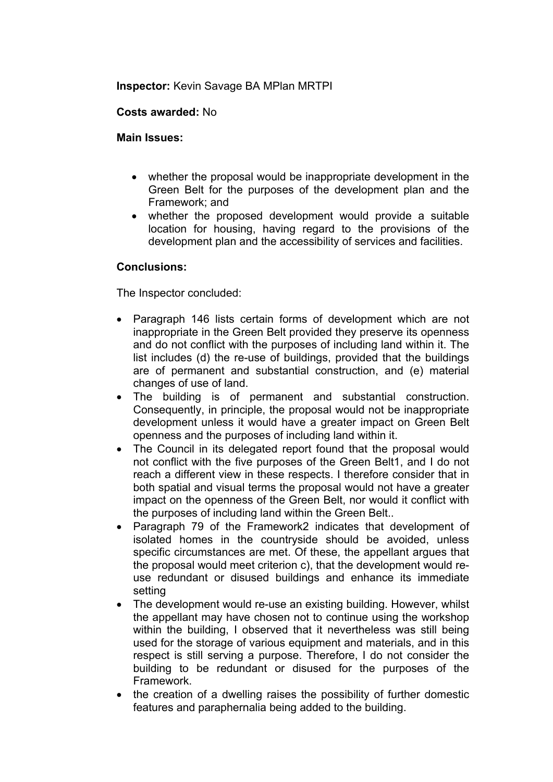## **Inspector:** Kevin Savage BA MPlan MRTPI

## **Costs awarded:** No

## **Main Issues:**

- whether the proposal would be inappropriate development in the Green Belt for the purposes of the development plan and the Framework; and
- whether the proposed development would provide a suitable location for housing, having regard to the provisions of the development plan and the accessibility of services and facilities.

## **Conclusions:**

- Paragraph 146 lists certain forms of development which are not inappropriate in the Green Belt provided they preserve its openness and do not conflict with the purposes of including land within it. The list includes (d) the re-use of buildings, provided that the buildings are of permanent and substantial construction, and (e) material changes of use of land.
- The building is of permanent and substantial construction. Consequently, in principle, the proposal would not be inappropriate development unless it would have a greater impact on Green Belt openness and the purposes of including land within it.
- The Council in its delegated report found that the proposal would not conflict with the five purposes of the Green Belt1, and I do not reach a different view in these respects. I therefore consider that in both spatial and visual terms the proposal would not have a greater impact on the openness of the Green Belt, nor would it conflict with the purposes of including land within the Green Belt..
- Paragraph 79 of the Framework2 indicates that development of isolated homes in the countryside should be avoided, unless specific circumstances are met. Of these, the appellant argues that the proposal would meet criterion c), that the development would reuse redundant or disused buildings and enhance its immediate setting
- The development would re-use an existing building. However, whilst the appellant may have chosen not to continue using the workshop within the building, I observed that it nevertheless was still being used for the storage of various equipment and materials, and in this respect is still serving a purpose. Therefore, I do not consider the building to be redundant or disused for the purposes of the Framework.
- the creation of a dwelling raises the possibility of further domestic features and paraphernalia being added to the building.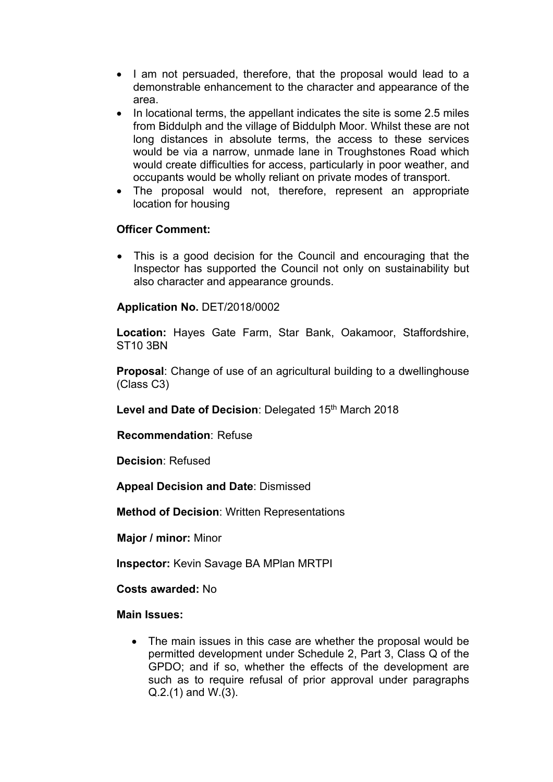- I am not persuaded, therefore, that the proposal would lead to a demonstrable enhancement to the character and appearance of the area.
- In locational terms, the appellant indicates the site is some 2.5 miles from Biddulph and the village of Biddulph Moor. Whilst these are not long distances in absolute terms, the access to these services would be via a narrow, unmade lane in Troughstones Road which would create difficulties for access, particularly in poor weather, and occupants would be wholly reliant on private modes of transport.
- The proposal would not, therefore, represent an appropriate location for housing

## **Officer Comment:**

 This is a good decision for the Council and encouraging that the Inspector has supported the Council not only on sustainability but also character and appearance grounds.

# **Application No.** DET/2018/0002

**Location:** Hayes Gate Farm, Star Bank, Oakamoor, Staffordshire, ST10 3BN

**Proposal**: Change of use of an agricultural building to a dwellinghouse (Class C3)

**Level and Date of Decision**: Delegated 15th March 2018

**Recommendation**: Refuse

**Decision**: Refused

**Appeal Decision and Date**: Dismissed

**Method of Decision**: Written Representations

**Major / minor:** Minor

**Inspector:** Kevin Savage BA MPlan MRTPI

**Costs awarded:** No

#### **Main Issues:**

• The main issues in this case are whether the proposal would be permitted development under Schedule 2, Part 3, Class Q of the GPDO; and if so, whether the effects of the development are such as to require refusal of prior approval under paragraphs Q.2.(1) and W.(3).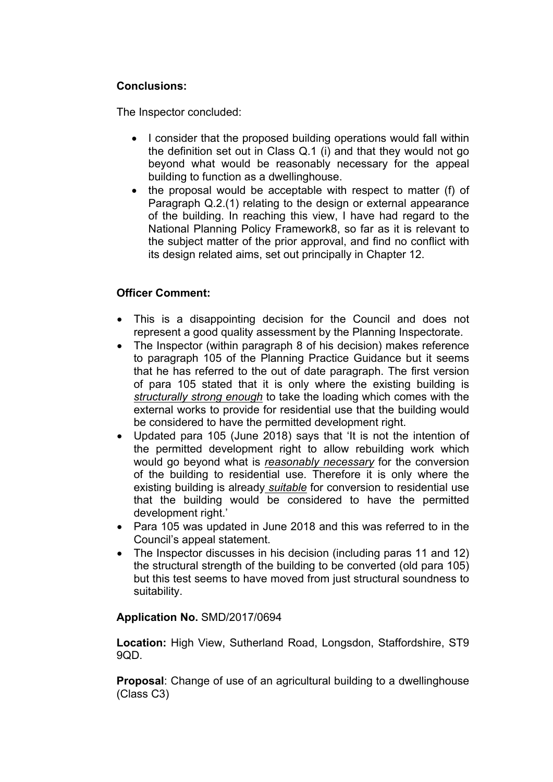# **Conclusions:**

The Inspector concluded:

- I consider that the proposed building operations would fall within the definition set out in Class Q.1 (i) and that they would not go beyond what would be reasonably necessary for the appeal building to function as a dwellinghouse.
- the proposal would be acceptable with respect to matter (f) of Paragraph Q.2.(1) relating to the design or external appearance of the building. In reaching this view, I have had regard to the National Planning Policy Framework8, so far as it is relevant to the subject matter of the prior approval, and find no conflict with its design related aims, set out principally in Chapter 12.

# **Officer Comment:**

- This is a disappointing decision for the Council and does not represent a good quality assessment by the Planning Inspectorate.
- The Inspector (within paragraph 8 of his decision) makes reference to paragraph 105 of the Planning Practice Guidance but it seems that he has referred to the out of date paragraph. The first version of para 105 stated that it is only where the existing building is *structurally strong enough* to take the loading which comes with the external works to provide for residential use that the building would be considered to have the permitted development right.
- Updated para 105 (June 2018) says that 'It is not the intention of the permitted development right to allow rebuilding work which would go beyond what is *reasonably necessary* for the conversion of the building to residential use. Therefore it is only where the existing building is already *suitable* for conversion to residential use that the building would be considered to have the permitted development right.'
- Para 105 was updated in June 2018 and this was referred to in the Council's appeal statement.
- The Inspector discusses in his decision (including paras 11 and 12) the structural strength of the building to be converted (old para 105) but this test seems to have moved from just structural soundness to suitability.

## **Application No.** SMD/2017/0694

**Location:** High View, Sutherland Road, Longsdon, Staffordshire, ST9 9QD.

**Proposal**: Change of use of an agricultural building to a dwellinghouse (Class C3)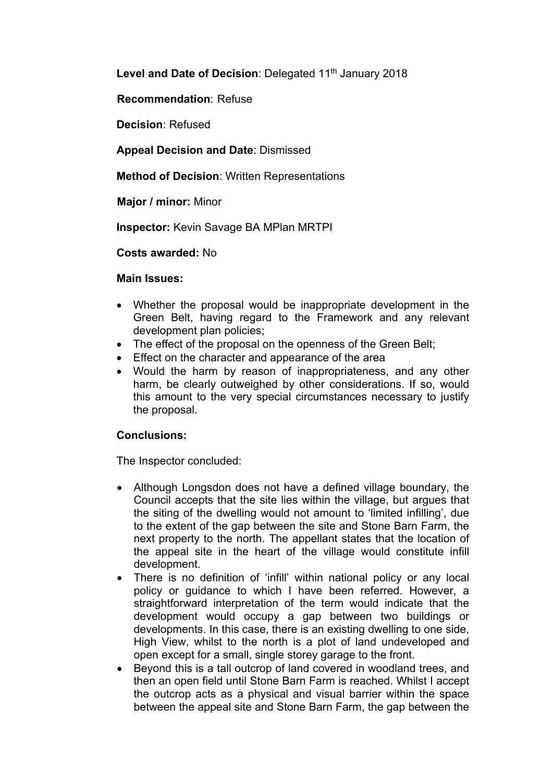Level and Date of Decision: Delegated 11<sup>th</sup> January 2018

**Recommendation**: Refuse

**Decision**: Refused

**Appeal Decision and Date**: Dismissed

**Method of Decision**: Written Representations

**Major / minor:** Minor

**Inspector:** Kevin Savage BA MPlan MRTPI

**Costs awarded:** No

#### **Main Issues:**

- Whether the proposal would be inappropriate development in the Green Belt, having regard to the Framework and any relevant development plan policies;
- The effect of the proposal on the openness of the Green Belt;
- **Effect on the character and appearance of the area**
- Would the harm by reason of inappropriateness, and any other harm, be clearly outweighed by other considerations. If so, would this amount to the very special circumstances necessary to justify the proposal.

# **Conclusions:**

- Although Longsdon does not have a defined village boundary, the Council accepts that the site lies within the village, but argues that the siting of the dwelling would not amount to 'limited infilling', due to the extent of the gap between the site and Stone Barn Farm, the next property to the north. The appellant states that the location of the appeal site in the heart of the village would constitute infill development.
- There is no definition of 'infill' within national policy or any local policy or guidance to which I have been referred. However, a straightforward interpretation of the term would indicate that the development would occupy a gap between two buildings or developments. In this case, there is an existing dwelling to one side, High View, whilst to the north is a plot of land undeveloped and open except for a small, single storey garage to the front.
- Beyond this is a tall outcrop of land covered in woodland trees, and then an open field until Stone Barn Farm is reached. Whilst I accept the outcrop acts as a physical and visual barrier within the space between the appeal site and Stone Barn Farm, the gap between the